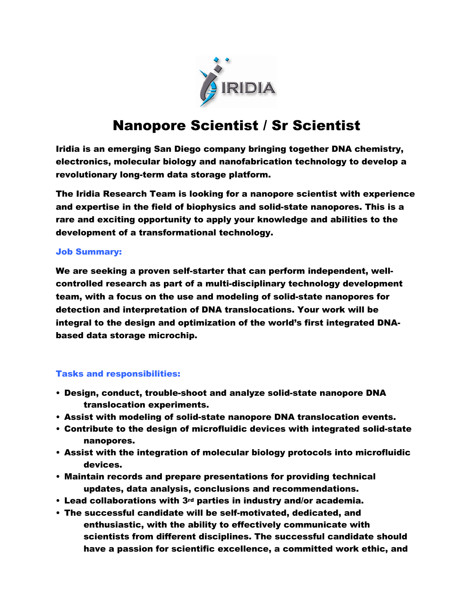

# Nanopore Scientist / Sr Scientist

Iridia is an emerging San Diego company bringing together DNA chemistry, electronics, molecular biology and nanofabrication technology to develop a revolutionary long-term data storage platform.

The Iridia Research Team is looking for a nanopore scientist with experience and expertise in the field of biophysics and solid-state nanopores. This is a rare and exciting opportunity to apply your knowledge and abilities to the development of a transformational technology.

## Job Summary:

We are seeking a proven self-starter that can perform independent, wellcontrolled research as part of a multi-disciplinary technology development team, with a focus on the use and modeling of solid-state nanopores for detection and interpretation of DNA translocations. Your work will be integral to the design and optimization of the world's first integrated DNAbased data storage microchip.

### Tasks and responsibilities:

- Design, conduct, trouble-shoot and analyze solid-state nanopore DNA translocation experiments.
- Assist with modeling of solid-state nanopore DNA translocation events.
- Contribute to the design of microfluidic devices with integrated solid-state nanopores.
- Assist with the integration of molecular biology protocols into microfluidic devices.
- Maintain records and prepare presentations for providing technical updates, data analysis, conclusions and recommendations.
- Lead collaborations with 3rd parties in industry and/or academia.
- The successful candidate will be self-motivated, dedicated, and enthusiastic, with the ability to effectively communicate with scientists from different disciplines. The successful candidate should have a passion for scientific excellence, a committed work ethic, and